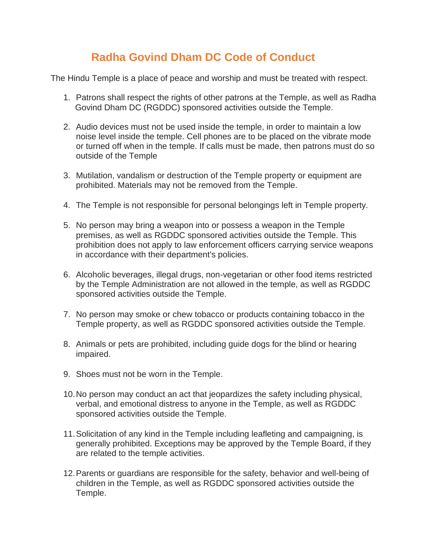## **Radha Govind Dham DC Code of Conduct**

The Hindu Temple is a place of peace and worship and must be treated with respect.

- 1. Patrons shall respect the rights of other patrons at the Temple, as well as Radha Govind Dham DC (RGDDC) sponsored activities outside the Temple.
- 2. Audio devices must not be used inside the temple, in order to maintain a low noise level inside the temple. Cell phones are to be placed on the vibrate mode or turned off when in the temple. If calls must be made, then patrons must do so outside of the Temple
- 3. Mutilation, vandalism or destruction of the Temple property or equipment are prohibited. Materials may not be removed from the Temple.
- 4. The Temple is not responsible for personal belongings left in Temple property.
- 5. No person may bring a weapon into or possess a weapon in the Temple premises, as well as RGDDC sponsored activities outside the Temple. This prohibition does not apply to law enforcement officers carrying service weapons in accordance with their department's policies.
- 6. Alcoholic beverages, illegal drugs, non-vegetarian or other food items restricted by the Temple Administration are not allowed in the temple, as well as RGDDC sponsored activities outside the Temple.
- 7. No person may smoke or chew tobacco or products containing tobacco in the Temple property, as well as RGDDC sponsored activities outside the Temple.
- 8. Animals or pets are prohibited, including guide dogs for the blind or hearing impaired.
- 9. Shoes must not be worn in the Temple.
- 10.No person may conduct an act that jeopardizes the safety including physical, verbal, and emotional distress to anyone in the Temple, as well as RGDDC sponsored activities outside the Temple.
- 11.Solicitation of any kind in the Temple including leafleting and campaigning, is generally prohibited. Exceptions may be approved by the Temple Board, if they are related to the temple activities.
- 12.Parents or guardians are responsible for the safety, behavior and well-being of children in the Temple, as well as RGDDC sponsored activities outside the Temple.